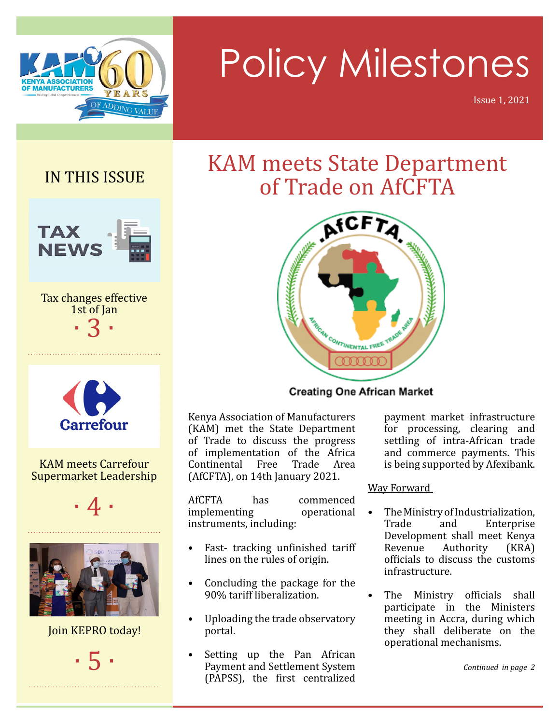

# Policy Milestones

Issue 1, 2021

IN THIS ISSUE



Tax changes effective 1st of Jan · 3 ·



#### KAM meets Carrefour Supermarket Leadership





Join KEPRO today!

· 5 ·

### KAM meets State Department of Trade on AfCFTA



**Creating One African Market** 

Kenya Association of Manufacturers (KAM) met the State Department of Trade to discuss the progress of implementation of the Africa Continental Free Trade Area (AfCFTA), on 14th January 2021.

AfCFTA has commenced implementing operational instruments, including:

- Fast- tracking unfinished tariff lines on the rules of origin.
- • Concluding the package for the 90% tariff liberalization.
- Uploading the trade observatory portal.
- Setting up the Pan African Payment and Settlement System (PAPSS), the first centralized

payment market infrastructure for processing, clearing and settling of intra-African trade and commerce payments. This is being supported by Afexibank.

#### Way Forward

- The Ministry of Industrialization,<br>Trade and Enterprise Enterprise Development shall meet Kenya Revenue Authority (KRA) officials to discuss the customs infrastructure.
- The Ministry officials shall participate in the Ministers meeting in Accra, during which they shall deliberate on the operational mechanisms.

*Continued in page 2*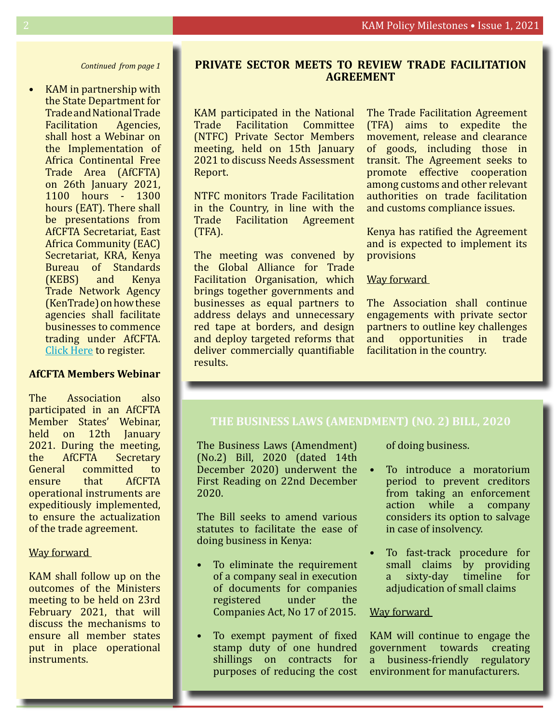*Continued from page 1*

KAM in partnership with the State Department for Trade and National Trade Facilitation Agencies, shall host a Webinar on the Implementation of Africa Continental Free Trade Area (AfCFTA) on 26th January 2021, 1100 hours - 1300 hours (EAT). There shall be presentations from AfCFTA Secretariat, East Africa Community (EAC) Secretariat, KRA, Kenya Bureau of Standards (KEBS) and Kenya Trade Network Agency (KenTrade) on how these agencies shall facilitate businesses to commence trading under AfCFTA. [Click Here](https://zoom.us/webinar/register/WN_Ekn9QDUdTLmm_5Id5-kCKQ) to register.

#### **AfCFTA Members Webinar**

The Association also participated in an AfCFTA Member States' Webinar, held on 12th January 2021. During the meeting, the AfCFTA Secretary<br>General committed to committed to ensure that AfCFTA operational instruments are expeditiously implemented, to ensure the actualization of the trade agreement.

#### Way forward

KAM shall follow up on the outcomes of the Ministers meeting to be held on 23rd February 2021, that will discuss the mechanisms to ensure all member states put in place operational instruments.

#### **Private sector meets to review Trade Facilitation Agreement**

KAM participated in the National Trade Facilitation Committee (NTFC) Private Sector Members meeting, held on 15th January 2021 to discuss Needs Assessment Report.

NTFC monitors Trade Facilitation in the Country, in line with the Trade Facilitation Agreement (TFA).

The meeting was convened by the Global Alliance for Trade Facilitation Organisation, which brings together governments and businesses as equal partners to address delays and unnecessary red tape at borders, and design and deploy targeted reforms that deliver commercially quantifiable results.

The Trade Facilitation Agreement (TFA) aims to expedite the movement, release and clearance of goods, including those in transit. The Agreement seeks to promote effective cooperation among customs and other relevant authorities on trade facilitation and customs compliance issues.

Kenya has ratified the Agreement and is expected to implement its provisions

#### Way forward

The Association shall continue engagements with private sector partners to outline key challenges and opportunities in trade facilitation in the country.

#### **The Business Laws (Amendment) (No. 2) Bill, 2020**

The Business Laws (Amendment) (No.2) Bill, 2020 (dated 14th December 2020) underwent the First Reading on 22nd December 2020.

The Bill seeks to amend various statutes to facilitate the ease of doing business in Kenya:

- To eliminate the requirement of a company seal in execution of documents for companies registered under the Companies Act, No 17 of 2015.
- To exempt payment of fixed stamp duty of one hundred shillings on contracts for purposes of reducing the cost

of doing business.

- • To introduce a moratorium period to prevent creditors from taking an enforcement action while a company considers its option to salvage in case of insolvency.
	- To fast-track procedure for small claims by providing a sixty-day timeline for adjudication of small claims

#### Way forward

KAM will continue to engage the government towards creating a business-friendly regulatory environment for manufacturers.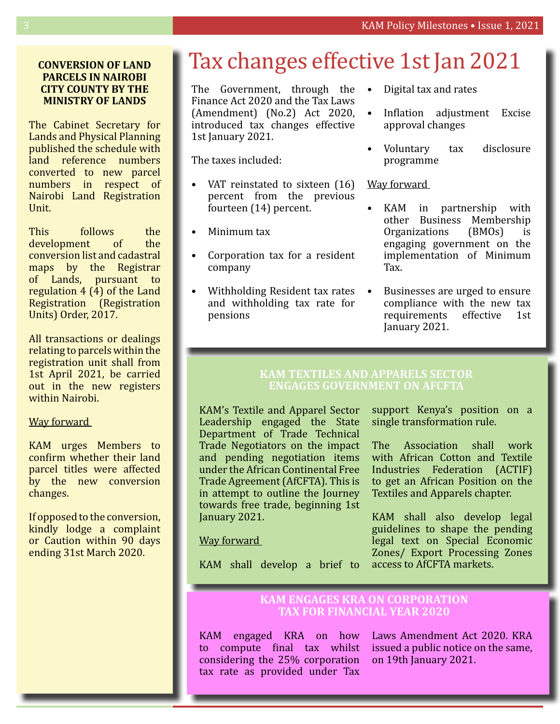#### **Conversion of land parcels in Nairobi City County by the Ministry of Lands**

The Cabinet Secretary for Lands and Physical Planning published the schedule with land reference numbers converted to new parcel numbers in respect of Nairobi Land Registration Unit.

This follows the development of the conversion list and cadastral maps by the Registrar of Lands, pursuant to regulation 4 (4) of the Land Registration (Registration Units) Order, 2017.

All transactions or dealings relating to parcels within the registration unit shall from 1st April 2021, be carried out in the new registers within Nairobi.

#### Way forward

KAM urges Members to confirm whether their land parcel titles were affected by the new conversion changes.

If opposed to the conversion, kindly lodge a complaint or Caution within 90 days ending 31st March 2020.

### Tax changes effective 1st Jan 2021

The Government, through the  $\bullet$ Finance Act 2020 and the Tax Laws (Amendment) (No.2) Act 2020, introduced tax changes effective 1st January 2021.

The taxes included:

- VAT reinstated to sixteen  $(16)$ percent from the previous fourteen (14) percent.
- Minimum tax
- Corporation tax for a resident company
- Withholding Resident tax rates and withholding tax rate for pensions
- Digital tax and rates
- • Inflation adjustment Excise approval changes
- • Voluntary tax disclosure programme

#### Way forward

- • KAM in partnership with other Business Membership Organizations (BMOs) is engaging government on the implementation of Minimum Tax.
	- Businesses are urged to ensure compliance with the new tax requirements effective 1st January 2021.

#### **KAM Textiles and Apparels Sector engages Government on AfCFTA**

KAM's Textile and Apparel Sector Leadership engaged the State Department of Trade Technical Trade Negotiators on the impact and pending negotiation items under the African Continental Free Trade Agreement (AfCFTA). This is in attempt to outline the Journey towards free trade, beginning 1st January 2021.

support Kenya's position on a single transformation rule.

The Association shall work with African Cotton and Textile Industries Federation (ACTIF) to get an African Position on the Textiles and Apparels chapter.

KAM shall also develop legal guidelines to shape the pending legal text on Special Economic Zones/ Export Processing Zones access to AfCFTA markets.

#### Way forward

KAM shall develop a brief to

#### **KAM engages KRA on Corporation Tax for Financial Year 2020**

KAM engaged KRA on how to compute final tax whilst considering the 25% corporation tax rate as provided under Tax

Laws Amendment Act 2020. KRA issued a public notice on the same, on 19th January 2021.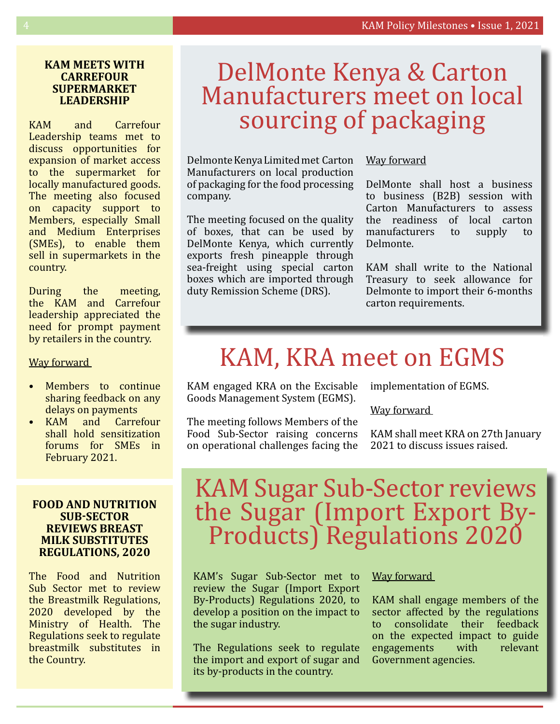#### **KAM meets with Carrefour Supermarket Leadership**

KAM and Carrefour Leadership teams met to discuss opportunities for expansion of market access to the supermarket for locally manufactured goods. The meeting also focused on capacity support to Members, especially Small and Medium Enterprises (SMEs), to enable them sell in supermarkets in the country.

During the meeting, the KAM and Carrefour leadership appreciated the need for prompt payment by retailers in the country.

Way forward

- Members to continue sharing feedback on any delays on payments
- KAM and Carrefour shall hold sensitization forums for SMEs in February 2021.

#### **Food and Nutrition Sub-Sector reviews Breast Milk Substitutes Regulations, 2020**

The Food and Nutrition Sub Sector met to review the Breastmilk Regulations, 2020 developed by the Ministry of Health. The Regulations seek to regulate breastmilk substitutes in the Country.

### DelMonte Kenya & Carton Manufacturers meet on local sourcing of packaging

Delmonte Kenya Limited met Carton Manufacturers on local production of packaging for the food processing company.

The meeting focused on the quality of boxes, that can be used by DelMonte Kenya, which currently exports fresh pineapple through sea-freight using special carton boxes which are imported through duty Remission Scheme (DRS).

#### Way forward

DelMonte shall host a business to business (B2B) session with Carton Manufacturers to assess the readiness of local carton manufacturers to supply to Delmonte.

KAM shall write to the National Treasury to seek allowance for Delmonte to import their 6-months carton requirements.

## KAM, KRA meet on EGMS

KAM engaged KRA on the Excisable Goods Management System (EGMS).

The meeting follows Members of the Food Sub-Sector raising concerns on operational challenges facing the implementation of EGMS.

Way forward

KAM shall meet KRA on 27th January 2021 to discuss issues raised.

### KAM Sugar Sub-Sector reviews the Sugar (Import Export By-Products) Regulations 2020

KAM's Sugar Sub-Sector met to review the Sugar (Import Export By-Products) Regulations 2020, to develop a position on the impact to the sugar industry.

The Regulations seek to regulate the import and export of sugar and its by-products in the country.

#### Way forward

KAM shall engage members of the sector affected by the regulations to consolidate their feedback on the expected impact to guide<br>engagements with relevant engagements with Government agencies.